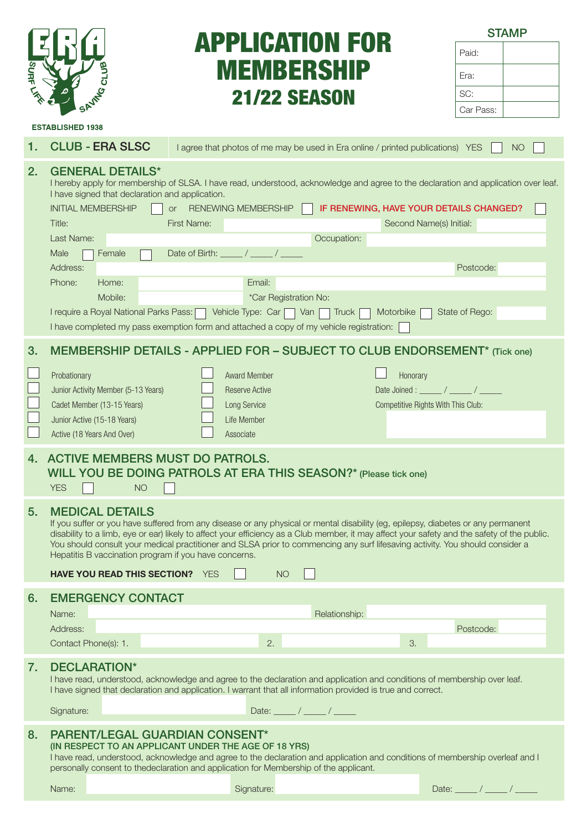

# APPLICATION FOR MEMBERSHIP 21/22 SEASON

**STAMP** Paid:

Era:

**ESTABLISHED 1938** 

1. CLUB - ERA SLSC | agree that photos of me may be used in Era online / printed publications) YES | NO

#### 2. GENERAL DETAILS\*

I hereby apply for membership of SLSA. I have read, understood, acknowledge and agree to the declaration and application over leaf. I have signed that declaration and application. INITIAL MEMBERSHIP **OF RENEWING MEMBERSHIP IF RENEWING, HAVE YOUR DETAILS CHANGED?** 

| 3. MEMBERSHIP DETAILS - APPLIED FOR - SUBJECT TO CLUB ENDORSEMENT* (Tick one) |  |
|-------------------------------------------------------------------------------|--|
|                                                                               |  |

Title: First Name: First Name: First Name: Second Name(s) Initial:

Address: Postcode:

I require a Royal National Parks Pass: Vehicle Type: Car Van Truck Motorbike State of Rego:

Last Name: Occupation:

Mobile: Mobile:  $*Car Region No:$ 

I have completed my pass exemption form and attached a copy of my vehicle registration:

Male  $\Box$  Female  $\Box$  Date of Birth:  $\Box$  /  $\Box$ 

Phone: Home: I amail: Email:

| Probationary                        | <b>Award Member</b> | Honorary                           |
|-------------------------------------|---------------------|------------------------------------|
| Junior Activity Member (5-13 Years) | Reserve Active      | Date Joined:                       |
| Cadet Member (13-15 Years)          | Long Service        | Competitive Rights With This Club: |
| Junior Active (15-18 Years)         | Life Member         |                                    |
| Active (18 Years And Over)          | Associate           |                                    |

## 4. ACTIVE MEMBERS MUST DO PATROLS. WILL YOU BE DOING PATROLS AT ERA THIS SEASON?\* (Please tick one)

| <b>YES</b> | <b>NO</b> |
|------------|-----------|
|            |           |

#### 5. MEDICAL DETAILS

If you suffer or you have suffered from any disease or any physical or mental disability (eg, epilepsy, diabetes or any permanent disability to a limb, eye or ear) likely to affect your efficiency as a Club member, it may affect your safety and the safety of the public. You should consult your medical practitioner and SLSA prior to commencing any surf lifesaving activity. You should consider a Hepatitis B vaccination program if you have concerns.

|          | <b>HAVE YOU READ THIS SECTION?</b> YES |          | <b>NO</b> |               |
|----------|----------------------------------------|----------|-----------|---------------|
|          | 6. EMERGENCY CONTACT                   |          |           |               |
| Name:    |                                        |          |           | Relationship: |
| Address: |                                        |          |           | Postcode:     |
|          | Contact Phone(s): 1.                   | $\Omega$ |           | 3             |

#### 7. DECLARATION\*

I have read, understood, acknowledge and agree to the declaration and application and conditions of membership over leaf. I have signed that declaration and application. I warrant that all information provided is true and correct.

Signature: Date: \_\_\_\_\_ / \_\_\_\_\_ / \_\_\_\_\_

### 8. PARENT/LEGAL GUARDIAN CONSENT\*

(IN RESPECT TO AN APPLICANT UNDER THE AGE OF 18 YRS)

I have read, understood, acknowledge and agree to the declaration and application and conditions of membership overleaf and I personally consent to thedeclaration and application for Membership of the applicant.